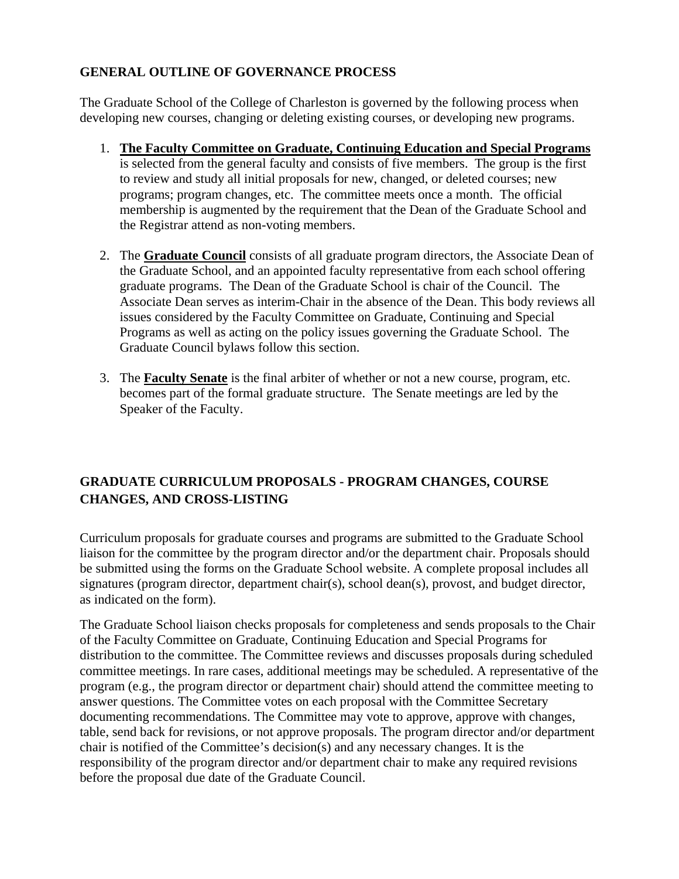## **GENERAL OUTLINE OF GOVERNANCE PROCESS**

The Graduate School of the College of Charleston is governed by the following process when developing new courses, changing or deleting existing courses, or developing new programs.

- 1. **The Faculty Committee on Graduate, Continuing Education and Special Programs** is selected from the general faculty and consists of five members. The group is the first to review and study all initial proposals for new, changed, or deleted courses; new programs; program changes, etc. The committee meets once a month. The official membership is augmented by the requirement that the Dean of the Graduate School and the Registrar attend as non-voting members.
- 2. The **Graduate Council** consists of all graduate program directors, the Associate Dean of the Graduate School, and an appointed faculty representative from each school offering graduate programs. The Dean of the Graduate School is chair of the Council. The Associate Dean serves as interim-Chair in the absence of the Dean. This body reviews all issues considered by the Faculty Committee on Graduate, Continuing and Special Programs as well as acting on the policy issues governing the Graduate School. The Graduate Council bylaws follow this section.
- 3. The **Faculty Senate** is the final arbiter of whether or not a new course, program, etc. becomes part of the formal graduate structure. The Senate meetings are led by the Speaker of the Faculty.

# **GRADUATE CURRICULUM PROPOSALS - PROGRAM CHANGES, COURSE CHANGES, AND CROSS-LISTING**

Curriculum proposals for graduate courses and programs are submitted to the Graduate School liaison for the committee by the program director and/or the department chair. Proposals should be submitted using the forms on the Graduate School website. A complete proposal includes all signatures (program director, department chair(s), school dean(s), provost, and budget director, as indicated on the form).

The Graduate School liaison checks proposals for completeness and sends proposals to the Chair of the Faculty Committee on Graduate, Continuing Education and Special Programs for distribution to the committee. The Committee reviews and discusses proposals during scheduled committee meetings. In rare cases, additional meetings may be scheduled. A representative of the program (e.g., the program director or department chair) should attend the committee meeting to answer questions. The Committee votes on each proposal with the Committee Secretary documenting recommendations. The Committee may vote to approve, approve with changes, table, send back for revisions, or not approve proposals. The program director and/or department chair is notified of the Committee's decision(s) and any necessary changes. It is the responsibility of the program director and/or department chair to make any required revisions before the proposal due date of the Graduate Council.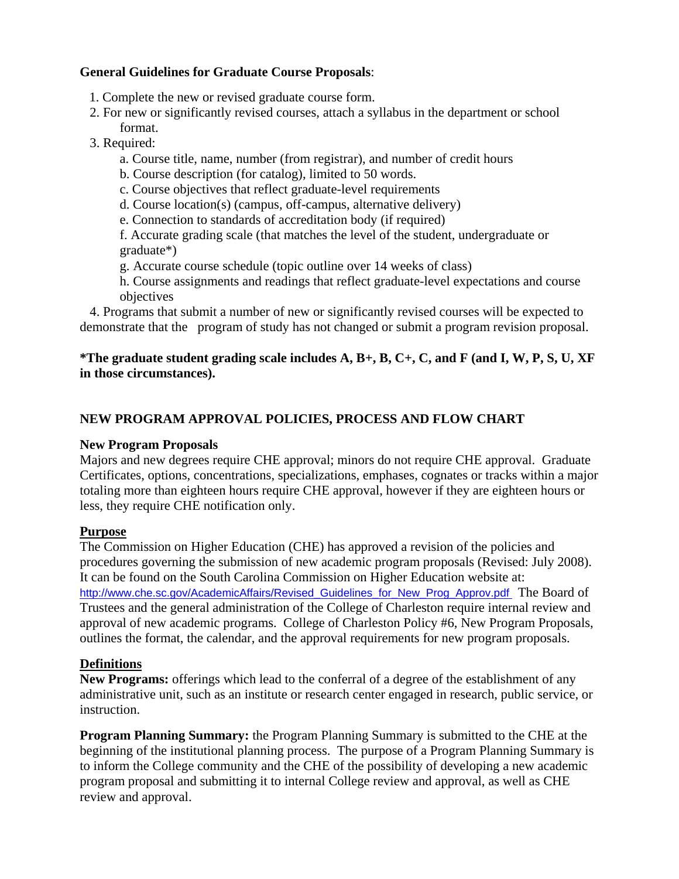### **General Guidelines for Graduate Course Proposals**:

- 1. Complete the new or revised graduate course form.
- 2. For new or significantly revised courses, attach a syllabus in the department or school format.
- 3. Required:
	- a. Course title, name, number (from registrar), and number of credit hours
	- b. Course description (for catalog), limited to 50 words.
	- c. Course objectives that reflect graduate-level requirements
	- d. Course location(s) (campus, off-campus, alternative delivery)
	- e. Connection to standards of accreditation body (if required)

 f. Accurate grading scale (that matches the level of the student, undergraduate or graduate\*)

- g. Accurate course schedule (topic outline over 14 weeks of class)
- h. Course assignments and readings that reflect graduate-level expectations and course objectives

 4. Programs that submit a number of new or significantly revised courses will be expected to demonstrate that the program of study has not changed or submit a program revision proposal.

## **\*The graduate student grading scale includes A, B+, B, C+, C, and F (and I, W, P, S, U, XF in those circumstances).**

# **NEW PROGRAM APPROVAL POLICIES, PROCESS AND FLOW CHART**

#### **New Program Proposals**

Majors and new degrees require CHE approval; minors do not require CHE approval. Graduate Certificates, options, concentrations, specializations, emphases, cognates or tracks within a major totaling more than eighteen hours require CHE approval, however if they are eighteen hours or less, they require CHE notification only.

#### **Purpose**

The Commission on Higher Education (CHE) has approved a revision of the policies and procedures governing the submission of new academic program proposals (Revised: July 2008). It can be found on the South Carolina Commission on Higher Education website at: http://www.che.sc.gov/AcademicAffairs/Revised\_Guidelines\_for\_New\_Prog\_Approv.pdf The Board of Trustees and the general administration of the College of Charleston require internal review and approval of new academic programs. College of Charleston Policy #6, New Program Proposals, outlines the format, the calendar, and the approval requirements for new program proposals.

### **Definitions**

**New Programs:** offerings which lead to the conferral of a degree of the establishment of any administrative unit, such as an institute or research center engaged in research, public service, or instruction.

**Program Planning Summary:** the Program Planning Summary is submitted to the CHE at the beginning of the institutional planning process. The purpose of a Program Planning Summary is to inform the College community and the CHE of the possibility of developing a new academic program proposal and submitting it to internal College review and approval, as well as CHE review and approval.